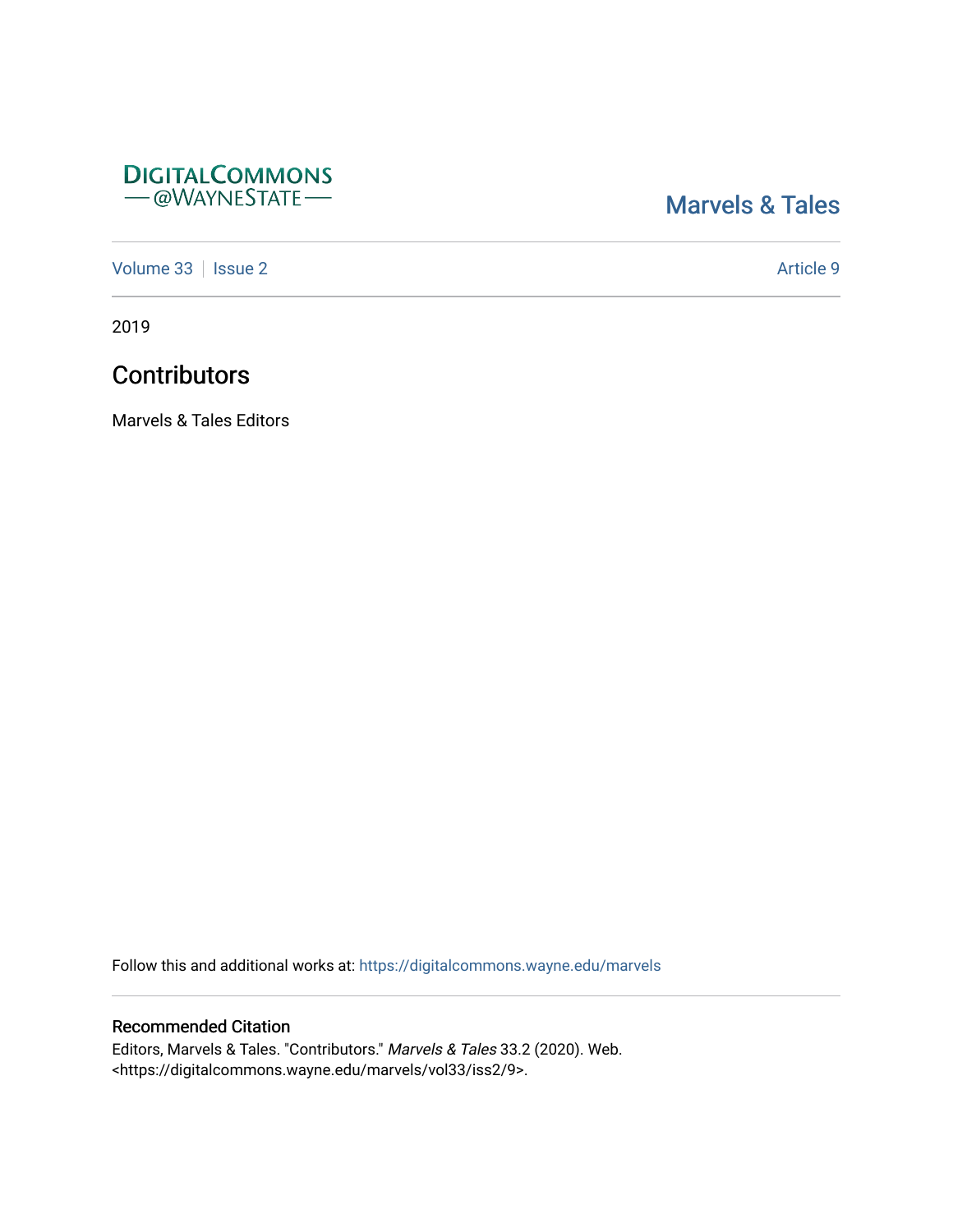### **DIGITALCOMMONS** - @WAYNESTATE-

## [Marvels & Tales](https://digitalcommons.wayne.edu/marvels)

[Volume 33](https://digitalcommons.wayne.edu/marvels/vol33) | [Issue 2](https://digitalcommons.wayne.edu/marvels/vol33/iss2) Article 9

2019

# **Contributors**

Marvels & Tales Editors

Follow this and additional works at: [https://digitalcommons.wayne.edu/marvels](https://digitalcommons.wayne.edu/marvels?utm_source=digitalcommons.wayne.edu%2Fmarvels%2Fvol33%2Fiss2%2F9&utm_medium=PDF&utm_campaign=PDFCoverPages) 

#### Recommended Citation

Editors, Marvels & Tales. "Contributors." Marvels & Tales 33.2 (2020). Web. <https://digitalcommons.wayne.edu/marvels/vol33/iss2/9>.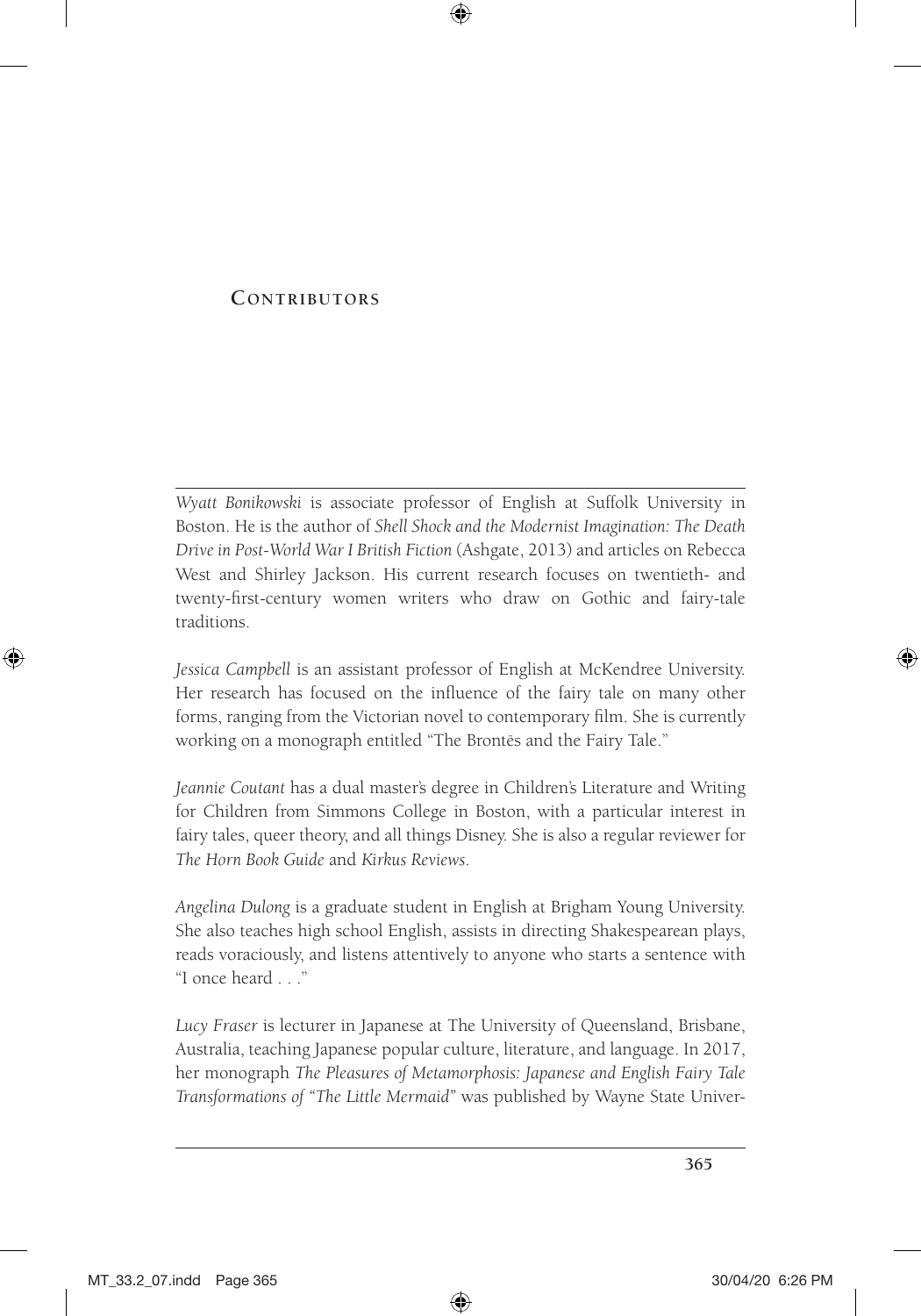#### **Contributors**

*Wyatt Bonikowski* is associate professor of English at Suffolk University in Boston. He is the author of *Shell Shock and the Modernist Imagination: The Death Drive in Post-World War I British Fiction* (Ashgate, 2013) and articles on Rebecca West and Shirley Jackson. His current research focuses on twentieth- and twenty-first-century women writers who draw on Gothic and fairy-tale traditions.

*Jessica Campbell* is an assistant professor of English at McKendree University. Her research has focused on the influence of the fairy tale on many other forms, ranging from the Victorian novel to contemporary film. She is currently working on a monograph entitled "The Brontës and the Fairy Tale."

*Jeannie Coutant* has a dual master's degree in Children's Literature and Writing for Children from Simmons College in Boston, with a particular interest in fairy tales, queer theory, and all things Disney. She is also a regular reviewer for *The Horn Book Guide* and *Kirkus Reviews*.

*Angelina Dulong* is a graduate student in English at Brigham Young University. She also teaches high school English, assists in directing Shakespearean plays, reads voraciously, and listens attentively to anyone who starts a sentence with "I once heard . . ."

*Lucy Fraser* is lecturer in Japanese at The University of Queensland, Brisbane, Australia, teaching Japanese popular culture, literature, and language. In 2017, her monograph *The Pleasures of Metamorphosis: Japanese and English Fairy Tale Transformations of "The Little Mermaid"* was published by Wayne State Univer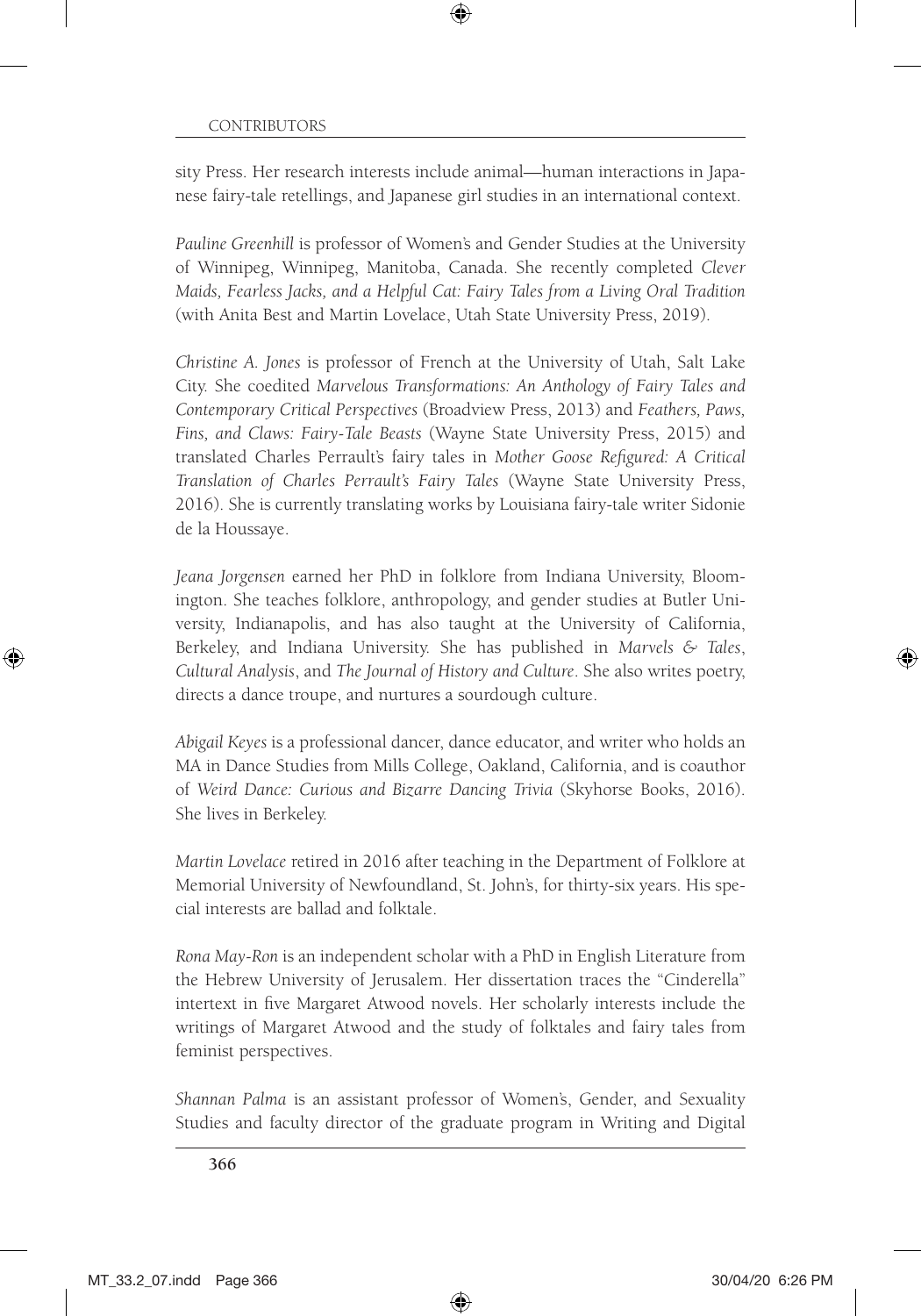sity Press. Her research interests include animal—human interactions in Japanese fairy-tale retellings, and Japanese girl studies in an international context.

*Pauline Greenhill* is professor of Women's and Gender Studies at the University of Winnipeg, Winnipeg, Manitoba, Canada. She recently completed *Clever Maids, Fearless Jacks, and a Helpful Cat: Fairy Tales from a Living Oral Tradition* (with Anita Best and Martin Lovelace, Utah State University Press, 2019).

*Christine A. Jones* is professor of French at the University of Utah, Salt Lake City. She coedited *Marvelous Transformations: An Anthology of Fairy Tales and Contemporary Critical Perspectives* (Broadview Press, 2013) and *Feathers, Paws, Fins, and Claws: Fairy-Tale Beasts* (Wayne State University Press, 2015) and translated Charles Perrault's fairy tales in *Mother Goose Refigured: A Critical Translation of Charles Perrault's Fairy Tales* (Wayne State University Press, 2016). She is currently translating works by Louisiana fairy-tale writer Sidonie de la Houssaye.

*Jeana Jorgensen* earned her PhD in folklore from Indiana University, Bloomington. She teaches folklore, anthropology, and gender studies at Butler University, Indianapolis, and has also taught at the University of California, Berkeley, and Indiana University. She has published in *Marvels & Tales*, *Cultural Analysis*, and *The Journal of History and Culture*. She also writes poetry, directs a dance troupe, and nurtures a sourdough culture.

*Abigail Keyes* is a professional dancer, dance educator, and writer who holds an MA in Dance Studies from Mills College, Oakland, California, and is coauthor of *Weird Dance: Curious and Bizarre Dancing Trivia* (Skyhorse Books, 2016). She lives in Berkeley.

*Martin Lovelace* retired in 2016 after teaching in the Department of Folklore at Memorial University of Newfoundland, St. John's, for thirty-six years. His special interests are ballad and folktale.

*Rona May-Ron* is an independent scholar with a PhD in English Literature from the Hebrew University of Jerusalem. Her dissertation traces the "Cinderella" intertext in five Margaret Atwood novels. Her scholarly interests include the writings of Margaret Atwood and the study of folktales and fairy tales from feminist perspectives.

*Shannan Palma* is an assistant professor of Women's, Gender, and Sexuality Studies and faculty director of the graduate program in Writing and Digital